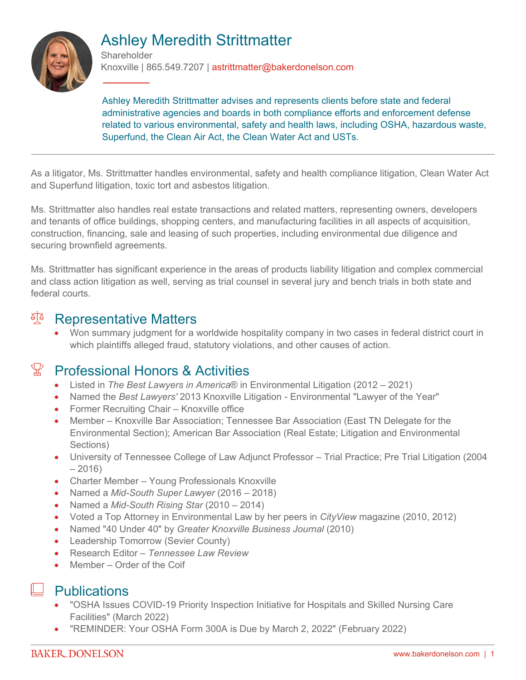

# Ashley Meredith Strittmatter

**Shareholder** Knoxville | 865.549.7207 | astrittmatter@bakerdonelson.com

Ashley Meredith Strittmatter advises and represents clients before state and federal administrative agencies and boards in both compliance efforts and enforcement defense related to various environmental, safety and health laws, including OSHA, hazardous waste, Superfund, the Clean Air Act, the Clean Water Act and USTs.

As a litigator, Ms. Strittmatter handles environmental, safety and health compliance litigation, Clean Water Act and Superfund litigation, toxic tort and asbestos litigation.

Ms. Strittmatter also handles real estate transactions and related matters, representing owners, developers and tenants of office buildings, shopping centers, and manufacturing facilities in all aspects of acquisition, construction, financing, sale and leasing of such properties, including environmental due diligence and securing brownfield agreements.

Ms. Strittmatter has significant experience in the areas of products liability litigation and complex commercial and class action litigation as well, serving as trial counsel in several jury and bench trials in both state and federal courts.

#### al<sup>a</sup> Representative Matters

 Won summary judgment for a worldwide hospitality company in two cases in federal district court in which plaintiffs alleged fraud, statutory violations, and other causes of action.

#### $\mathbb {Z}$  Professional Honors & Activities

- Listed in *The Best Lawyers in America*® in Environmental Litigation (2012 2021)
- Named the *Best Lawyers'* 2013 Knoxville Litigation Environmental "Lawyer of the Year"
- Former Recruiting Chair Knoxville office
- Member Knoxville Bar Association; Tennessee Bar Association (East TN Delegate for the Environmental Section); American Bar Association (Real Estate; Litigation and Environmental Sections)
- University of Tennessee College of Law Adjunct Professor Trial Practice; Pre Trial Litigation (2004  $-2016$
- Charter Member Young Professionals Knoxville
- Named a *Mid-South Super Lawyer* (2016 2018)
- Named a *Mid-South Rising Star* (2010 2014)
- Voted a Top Attorney in Environmental Law by her peers in *CityView* magazine (2010, 2012)
- Named "40 Under 40" by *Greater Knoxville Business Journal* (2010)
- Leadership Tomorrow (Sevier County)
- Research Editor *Tennessee Law Review*
- Member Order of the Coif

#### **Publications**

- "OSHA Issues COVID-19 Priority Inspection Initiative for Hospitals and Skilled Nursing Care Facilities" (March 2022)
- "REMINDER: Your OSHA Form 300A is Due by March 2, 2022" (February 2022)